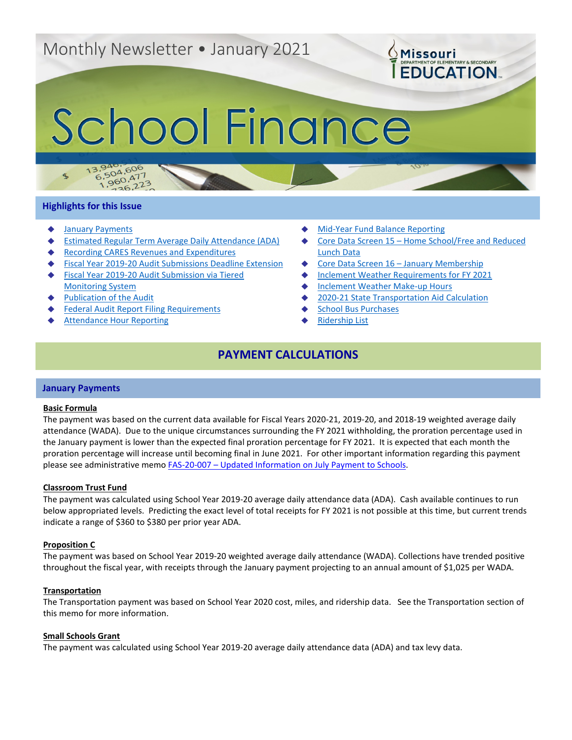# Monthly Newsletter • January 2021

# School Finance

# **Highlights for this Issue**

 $\mathcal{F}$ 

3.940.606<br>6.504.606  $5,504,600$ <br>1,960,477

 $^{50}_{26}$ , 223

- **[January Payments](#page-0-0)**
- **[Estimated Regular Term Average Daily Attendance \(ADA\)](#page-1-0)**
- Recording CARES [Revenues and Expenditures](#page-1-1)
- **[Fiscal Year 2019-20 Audit Submissions Deadline Extension](#page-1-2)**
- Fiscal Year 2019-20 Audit Submission via Tiered [Monitoring System](#page-2-0)
- **[Publication of the Audit](#page-3-0)**
- **[Federal Audit Report Filing Requirements](#page-3-1)**
- **[Attendance Hour Reporting](#page-3-2)**
- **[Mid-Year Fund Balance Reporting](#page-4-0)**
- Core Data Screen 15 Home School/Free and Reduced [Lunch Data](#page-4-1)

**OMissouri** 

**EDUCATION** 

- [Core Data Screen 16 –](#page-5-0) January Membership
- [Inclement Weather Requirements for FY 2021](#page-5-1)
- **[Inclement Weather Make-up Hours](#page-5-2)**
- [2020-21 State Transportation Aid Calculation](#page-6-0)
- **[School Bus Purchases](#page-6-1)**
- **[Ridership List](#page-7-0)**

# **PAYMENT CALCULATIONS**

### <span id="page-0-0"></span>**January Payments**

### **Basic Formula**

The payment was based on the current data available for Fiscal Years 2020-21, 2019-20, and 2018-19 weighted average daily attendance (WADA). Due to the unique circumstances surrounding the FY 2021 withholding, the proration percentage used in the January payment is lower than the expected final proration percentage for FY 2021. It is expected that each month the proration percentage will increase until becoming final in June 2021. For other important information regarding this payment please see administrative memo FAS-20-007 – [Updated Information on July Payment to Schools.](https://dese.mo.gov/sites/default/files/am/documents/FAS-20-007.pdf)

### **Classroom Trust Fund**

The payment was calculated using School Year 2019-20 average daily attendance data (ADA). Cash available continues to run below appropriated levels. Predicting the exact level of total receipts for FY 2021 is not possible at this time, but current trends indicate a range of \$360 to \$380 per prior year ADA.

### **Proposition C**

The payment was based on School Year 2019-20 weighted average daily attendance (WADA). Collections have trended positive throughout the fiscal year, with receipts through the January payment projecting to an annual amount of \$1,025 per WADA.

### **Transportation**

The Transportation payment was based on School Year 2020 cost, miles, and ridership data. See the Transportation section of this memo for more information.

### **Small Schools Grant**

The payment was calculated using School Year 2019-20 average daily attendance data (ADA) and tax levy data.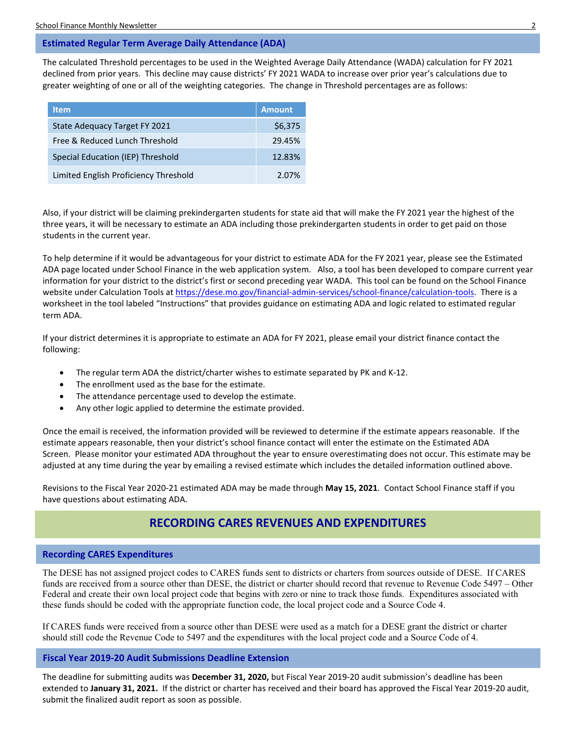# <span id="page-1-0"></span>**Estimated Regular Term Average Daily Attendance (ADA)**

The calculated Threshold percentages to be used in the Weighted Average Daily Attendance (WADA) calculation for FY 2021 declined from prior years. This decline may cause districts' FY 2021 WADA to increase over prior year's calculations due to greater weighting of one or all of the weighting categories. The change in Threshold percentages are as follows:

| <b>Item</b>                           | <b>Amount</b> |
|---------------------------------------|---------------|
| State Adequacy Target FY 2021         | \$6,375       |
| Free & Reduced Lunch Threshold        | 29.45%        |
| Special Education (IEP) Threshold     | 12.83%        |
| Limited English Proficiency Threshold | 2.07%         |

Also, if your district will be claiming prekindergarten students for state aid that will make the FY 2021 year the highest of the three years, it will be necessary to estimate an ADA including those prekindergarten students in order to get paid on those students in the current year.

To help determine if it would be advantageous for your district to estimate ADA for the FY 2021 year, please see the Estimated ADA page located under School Finance in the web application system. Also, a tool has been developed to compare current year information for your district to the district's first or second preceding year WADA. This tool can be found on the School Finance website under Calculation Tools at [https://dese.mo.gov/financial-admin-services/school-finance/calculation-tools.](https://dese.mo.gov/financial-admin-services/school-finance/calculation-tools) There is a worksheet in the tool labeled "Instructions" that provides guidance on estimating ADA and logic related to estimated regular term ADA.

If your district determines it is appropriate to estimate an ADA for FY 2021, please email your district finance contact the following:

- The regular term ADA the district/charter wishes to estimate separated by PK and K-12.
- The enrollment used as the base for the estimate.
- The attendance percentage used to develop the estimate.
- Any other logic applied to determine the estimate provided.

Once the email is received, the information provided will be reviewed to determine if the estimate appears reasonable. If the estimate appears reasonable, then your district's school finance contact will enter the estimate on the Estimated ADA Screen. Please monitor your estimated ADA throughout the year to ensure overestimating does not occur. This estimate may be adjusted at any time during the year by emailing a revised estimate which includes the detailed information outlined above.

Revisions to the Fiscal Year 2020-21 estimated ADA may be made through **May 15, 2021**. Contact School Finance staff if you have questions about estimating ADA.

# **RECORDING CARES REVENUES AND EXPENDITURES**

# <span id="page-1-1"></span>**Recording CARES Expenditures**

The DESE has not assigned project codes to CARES funds sent to districts or charters from sources outside of DESE. If CARES funds are received from a source other than DESE, the district or charter should record that revenue to Revenue Code 5497 – Other Federal and create their own local project code that begins with zero or nine to track those funds. Expenditures associated with these funds should be coded with the appropriate function code, the local project code and a Source Code 4.

If CARES funds were received from a source other than DESE were used as a match for a DESE grant the district or charter should still code the Revenue Code to 5497 and the expenditures with the local project code and a Source Code of 4.

# <span id="page-1-2"></span>**Fiscal Year 2019-20 Audit Submissions Deadline Extension**

The deadline for submitting audits was **December 31, 2020,** but Fiscal Year 2019-20 audit submission's deadline has been extended to **January 31, 2021.** If the district or charter has received and their board has approved the Fiscal Year 2019-20 audit, submit the finalized audit report as soon as possible.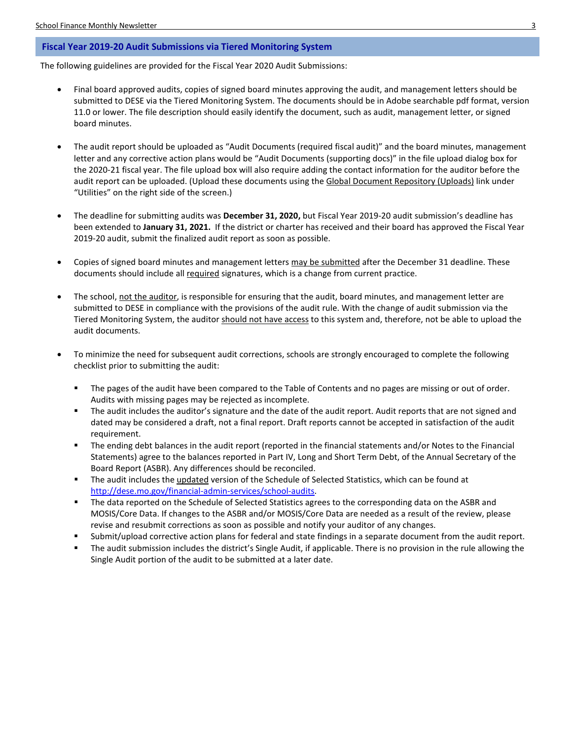# <span id="page-2-0"></span>**Fiscal Year 2019-20 Audit Submissions via Tiered Monitoring System**

The following guidelines are provided for the Fiscal Year 2020 Audit Submissions:

- Final board approved audits, copies of signed board minutes approving the audit, and management letters should be submitted to DESE via the Tiered Monitoring System. The documents should be in Adobe searchable pdf format, version 11.0 or lower. The file description should easily identify the document, such as audit, management letter, or signed board minutes.
- The audit report should be uploaded as "Audit Documents (required fiscal audit)" and the board minutes, management letter and any corrective action plans would be "Audit Documents (supporting docs)" in the file upload dialog box for the 2020-21 fiscal year. The file upload box will also require adding the contact information for the auditor before the audit report can be uploaded. (Upload these documents using the Global Document Repository (Uploads) link under "Utilities" on the right side of the screen.)
- The deadline for submitting audits was **December 31, 2020,** but Fiscal Year 2019-20 audit submission's deadline has been extended to **January 31, 2021.** If the district or charter has received and their board has approved the Fiscal Year 2019-20 audit, submit the finalized audit report as soon as possible.
- Copies of signed board minutes and management letters may be submitted after the December 31 deadline. These documents should include all required signatures, which is a change from current practice.
- The school, not the auditor, is responsible for ensuring that the audit, board minutes, and management letter are submitted to DESE in compliance with the provisions of the audit rule. With the change of audit submission via the Tiered Monitoring System, the auditor should not have access to this system and, therefore, not be able to upload the audit documents.
- To minimize the need for subsequent audit corrections, schools are strongly encouraged to complete the following checklist prior to submitting the audit:
	- The pages of the audit have been compared to the Table of Contents and no pages are missing or out of order. Audits with missing pages may be rejected as incomplete.
	- The audit includes the auditor's signature and the date of the audit report. Audit reports that are not signed and dated may be considered a draft, not a final report. Draft reports cannot be accepted in satisfaction of the audit requirement.
	- The ending debt balances in the audit report (reported in the financial statements and/or Notes to the Financial Statements) agree to the balances reported in Part IV, Long and Short Term Debt, of the Annual Secretary of the Board Report (ASBR). Any differences should be reconciled.
	- The audit includes the updated version of the Schedule of Selected Statistics, which can be found at [http://dese.mo.gov/financial-admin-services/school-audits.](http://dese.mo.gov/financial-admin-services/school-audits)
	- **The data reported on the Schedule of Selected Statistics agrees to the corresponding data on the ASBR and** MOSIS/Core Data. If changes to the ASBR and/or MOSIS/Core Data are needed as a result of the review, please revise and resubmit corrections as soon as possible and notify your auditor of any changes.
	- Submit/upload corrective action plans for federal and state findings in a separate document from the audit report.
	- The audit submission includes the district's Single Audit, if applicable. There is no provision in the rule allowing the Single Audit portion of the audit to be submitted at a later date.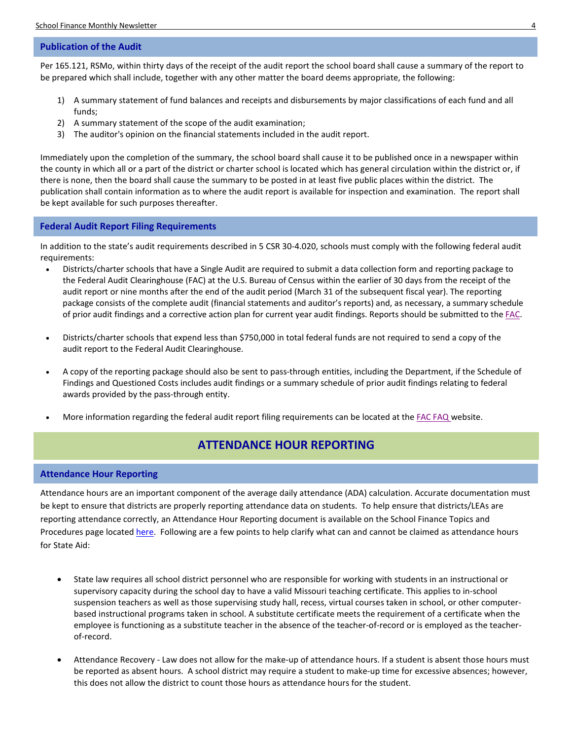# <span id="page-3-0"></span>**Publication of the Audit**

Per 165.121, RSMo, within thirty days of the receipt of the audit report the school board shall cause a summary of the report to be prepared which shall include, together with any other matter the board deems appropriate, the following:

- 1) A summary statement of fund balances and receipts and disbursements by major classifications of each fund and all funds;
- 2) A summary statement of the scope of the audit examination;
- 3) The auditor's opinion on the financial statements included in the audit report.

Immediately upon the completion of the summary, the school board shall cause it to be published once in a newspaper within the county in which all or a part of the district or charter school is located which has general circulation within the district or, if there is none, then the board shall cause the summary to be posted in at least five public places within the district. The publication shall contain information as to where the audit report is available for inspection and examination. The report shall be kept available for such purposes thereafter.

# <span id="page-3-1"></span>**Federal Audit Report Filing Requirements**

In addition to the state's audit requirements described in 5 CSR 30-4.020, schools must comply with the following federal audit requirements:

- Districts/charter schools that have a Single Audit are required to submit a data collection form and reporting package to the Federal Audit Clearinghouse (FAC) at the U.S. Bureau of Census within the earlier of 30 days from the receipt of the audit report or nine months after the end of the audit period (March 31 of the subsequent fiscal year). The reporting package consists of the complete audit (financial statements and auditor's reports) and, as necessary, a summary schedule of prior audit findings and a corrective action plan for current year audit findings. Reports should be submitted to th[e FAC.](https://harvester.census.gov/facweb/Default.aspx/ddeindex.html)
- Districts/charter schools that expend less than \$750,000 in total federal funds are not required to send a copy of the audit report to the Federal Audit Clearinghouse.
- A copy of the reporting package should also be sent to pass-through entities, including the Department, if the Schedule of Findings and Questioned Costs includes audit findings or a summary schedule of prior audit findings relating to federal awards provided by the pass-through entity.
- More information regarding the federal audit report filing requirements can be located at the FAC [FAQ](https://harvester.census.gov/facweb/FAQs.aspx) website.

# **ATTENDANCE HOUR REPORTING**

# <span id="page-3-2"></span>**Attendance Hour Reporting**

Attendance hours are an important component of the average daily attendance (ADA) calculation. Accurate documentation must be kept to ensure that districts are properly reporting attendance data on students. To help ensure that districts/LEAs are reporting attendance correctly, an Attendance Hour Reporting document is available on the School Finance Topics and Procedures page located [here.](https://dese.mo.gov/financial-admin-services/school-finance/finance-topics-procedures) Following are a few points to help clarify what can and cannot be claimed as attendance hours for State Aid:

- State law requires all school district personnel who are responsible for working with students in an instructional or supervisory capacity during the school day to have a valid Missouri teaching certificate. This applies to in-school suspension teachers as well as those supervising study hall, recess, virtual courses taken in school, or other computerbased instructional programs taken in school. A substitute certificate meets the requirement of a certificate when the employee is functioning as a substitute teacher in the absence of the teacher-of-record or is employed as the teacherof-record.
- Attendance Recovery Law does not allow for the make-up of attendance hours. If a student is absent those hours must be reported as absent hours. A school district may require a student to make-up time for excessive absences; however, this does not allow the district to count those hours as attendance hours for the student.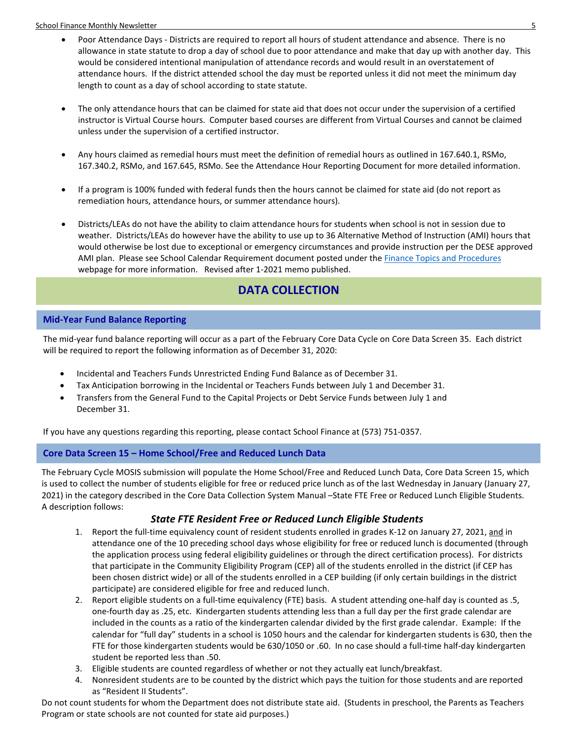School Finance Monthly Newsletter 5

- Poor Attendance Days Districts are required to report all hours of student attendance and absence. There is no allowance in state statute to drop a day of school due to poor attendance and make that day up with another day. This would be considered intentional manipulation of attendance records and would result in an overstatement of attendance hours. If the district attended school the day must be reported unless it did not meet the minimum day length to count as a day of school according to state statute.
- The only attendance hours that can be claimed for state aid that does not occur under the supervision of a certified instructor is Virtual Course hours. Computer based courses are different from Virtual Courses and cannot be claimed unless under the supervision of a certified instructor.
- Any hours claimed as remedial hours must meet the definition of remedial hours as outlined in 167.640.1, RSMo, 167.340.2, RSMo, and 167.645, RSMo. See the Attendance Hour Reporting Document for more detailed information.
- If a program is 100% funded with federal funds then the hours cannot be claimed for state aid (do not report as remediation hours, attendance hours, or summer attendance hours).
- Districts/LEAs do not have the ability to claim attendance hours for students when school is not in session due to weather. Districts/LEAs do however have the ability to use up to 36 Alternative Method of Instruction (AMI) hours that would otherwise be lost due to exceptional or emergency circumstances and provide instruction per the DESE approved AMI plan. Please see School Calendar Requirement document posted under th[e Finance Topics and Procedures](https://dese.mo.gov/financial-admin-services/school-finance/finance-topics-procedures) webpage for more information. Revised after 1-2021 memo published.

# **DATA COLLECTION**

# <span id="page-4-0"></span>**Mid-Year Fund Balance Reporting**

The mid-year fund balance reporting will occur as a part of the February Core Data Cycle on Core Data Screen 35. Each district will be required to report the following information as of December 31, 2020:

- Incidental and Teachers Funds Unrestricted Ending Fund Balance as of December 31.
- Tax Anticipation borrowing in the Incidental or Teachers Funds between July 1 and December 31.
- Transfers from the General Fund to the Capital Projects or Debt Service Funds between July 1 and December 31.

If you have any questions regarding this reporting, please contact School Finance at (573) 751-0357.

# <span id="page-4-1"></span>**Core Data Screen 15 – Home School/Free and Reduced Lunch Data**

The February Cycle MOSIS submission will populate the Home School/Free and Reduced Lunch Data, Core Data Screen 15, which is used to collect the number of students eligible for free or reduced price lunch as of the last Wednesday in January (January 27, 2021) in the category described in the Core Data Collection System Manual –State FTE Free or Reduced Lunch Eligible Students. A description follows:

# *State FTE Resident Free or Reduced Lunch Eligible Students*

- 1. Report the full-time equivalency count of resident students enrolled in grades K-12 on January 27, 2021, and in attendance one of the 10 preceding school days whose eligibility for free or reduced lunch is documented (through the application process using federal eligibility guidelines or through the direct certification process). For districts that participate in the Community Eligibility Program (CEP) all of the students enrolled in the district (if CEP has been chosen district wide) or all of the students enrolled in a CEP building (if only certain buildings in the district participate) are considered eligible for free and reduced lunch.
- 2. Report eligible students on a full-time equivalency (FTE) basis. A student attending one-half day is counted as .5, one-fourth day as .25, etc. Kindergarten students attending less than a full day per the first grade calendar are included in the counts as a ratio of the kindergarten calendar divided by the first grade calendar. Example: If the calendar for "full day" students in a school is 1050 hours and the calendar for kindergarten students is 630, then the FTE for those kindergarten students would be 630/1050 or .60. In no case should a full-time half-day kindergarten student be reported less than .50.
- 3. Eligible students are counted regardless of whether or not they actually eat lunch/breakfast.
- 4. Nonresident students are to be counted by the district which pays the tuition for those students and are reported as "Resident II Students".

Do not count students for whom the Department does not distribute state aid. (Students in preschool, the Parents as Teachers Program or state schools are not counted for state aid purposes.)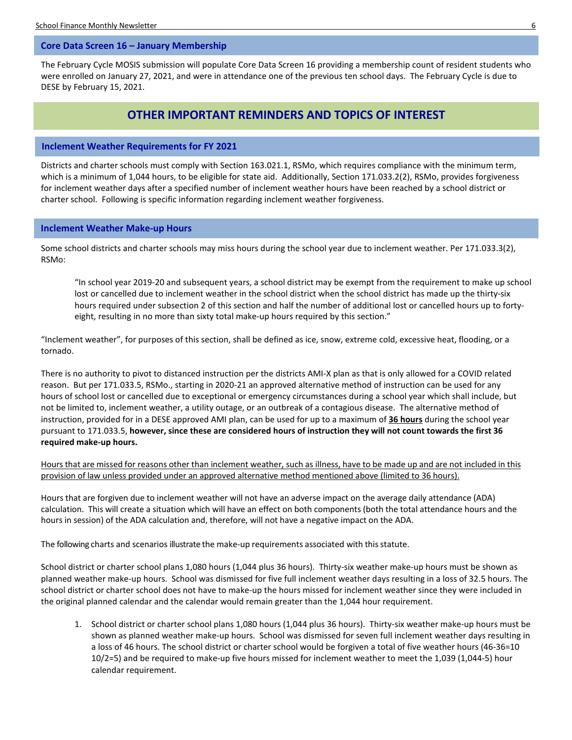### <span id="page-5-0"></span>**Core Data Screen 16 – January Membership**

The February Cycle MOSIS submission will populate Core Data Screen 16 providing a membership count of resident students who were enrolled on January 27, 2021, and were in attendance one of the previous ten school days. The February Cycle is due to DESE by February 15, 2021.

# **OTHER IMPORTANT REMINDERS AND TOPICS OF INTEREST**

# <span id="page-5-1"></span>**Inclement Weather Requirements for FY 2021**

Districts and charter schools must comply with Section 163.021.1, RSMo, which requires compliance with the minimum term, which is a minimum of 1,044 hours, to be eligible for state aid. Additionally, Section 171.033.2(2), RSMo, provides forgiveness for inclement weather days after a specified number of inclement weather hours have been reached by a school district or charter school. Following is specific information regarding inclement weather forgiveness.

# <span id="page-5-2"></span>**Inclement Weather Make-up Hours**

Some school districts and charter schools may miss hours during the school year due to inclement weather. Per 171.033.3(2), RSMo:

"In school year 2019-20 and subsequent years, a school district may be exempt from the requirement to make up school lost or cancelled due to inclement weather in the school district when the school district has made up the thirty-six hours required under subsection 2 of this section and half the number of additional lost or cancelled hours up to fortyeight, resulting in no more than sixty total make-up hours required by this section."

"Inclement weather", for purposes of this section, shall be defined as ice, snow, extreme cold, excessive heat, flooding, or a tornado.

There is no authority to pivot to distanced instruction per the districts AMI-X plan as that is only allowed for a COVID related reason. But per 171.033.5, RSMo., starting in 2020-21 an approved alternative method of instruction can be used for any hours of school lost or cancelled due to exceptional or emergency circumstances during a school year which shall include, but not be limited to, inclement weather, a utility outage, or an outbreak of a contagious disease. The alternative method of instruction, provided for in a DESE approved AMI plan, can be used for up to a maximum of **36 hours** during the school year pursuant to 171.033.5, **however, since these are considered hours of instruction they will not count towards the first 36 required make-up hours.**

Hours that are missed for reasons other than inclement weather, such as illness, have to be made up and are not included in this provision of law unless provided under an approved alternative method mentioned above (limited to 36 hours).

Hours that are forgiven due to inclement weather will not have an adverse impact on the average daily attendance (ADA) calculation. This will create a situation which will have an effect on both components (both the total attendance hours and the hours in session) of the ADA calculation and, therefore, will not have a negative impact on the ADA.

The following charts and scenarios illustrate the make-up requirements associated with thisstatute.

School district or charter school plans 1,080 hours (1,044 plus 36 hours). Thirty-six weather make-up hours must be shown as planned weather make-up hours. School was dismissed for five full inclement weather days resulting in a loss of 32.5 hours. The school district or charter school does not have to make-up the hours missed for inclement weather since they were included in the original planned calendar and the calendar would remain greater than the 1,044 hour requirement.

1. School district or charter school plans 1,080 hours (1,044 plus 36 hours). Thirty-six weather make-up hours must be shown as planned weather make-up hours. School was dismissed for seven full inclement weather days resulting in a loss of 46 hours. The school district or charter school would be forgiven a total of five weather hours (46-36=10 10/2=5) and be required to make-up five hours missed for inclement weather to meet the 1,039 (1,044-5) hour calendar requirement.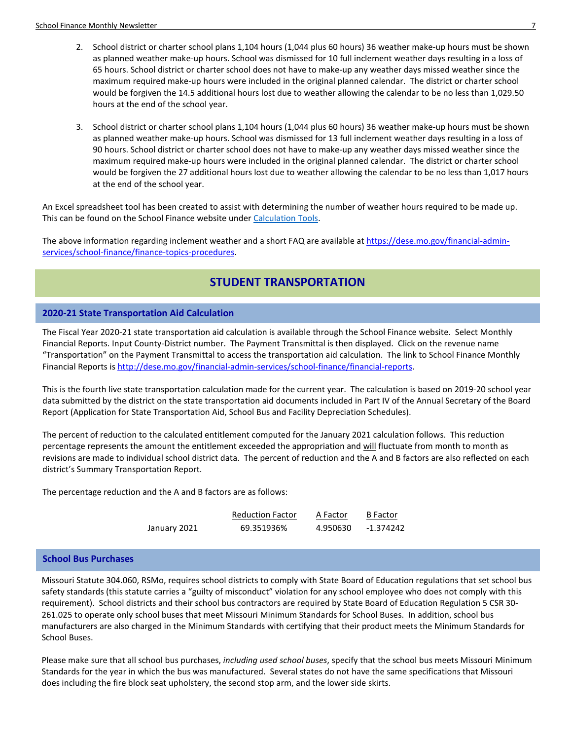- 2. School district or charter school plans 1,104 hours (1,044 plus 60 hours) 36 weather make-up hours must be shown as planned weather make-up hours. School was dismissed for 10 full inclement weather days resulting in a loss of 65 hours. School district or charter school does not have to make-up any weather days missed weather since the maximum required make-up hours were included in the original planned calendar. The district or charter school would be forgiven the 14.5 additional hours lost due to weather allowing the calendar to be no less than 1,029.50 hours at the end of the school year.
- 3. School district or charter school plans 1,104 hours (1,044 plus 60 hours) 36 weather make-up hours must be shown as planned weather make-up hours. School was dismissed for 13 full inclement weather days resulting in a loss of 90 hours. School district or charter school does not have to make-up any weather days missed weather since the maximum required make-up hours were included in the original planned calendar. The district or charter school would be forgiven the 27 additional hours lost due to weather allowing the calendar to be no less than 1,017 hours at the end of the school year.

An Excel spreadsheet tool has been created to assist with determining the number of weather hours required to be made up. This can be found on the School Finance website unde[r Calculation Tools.](https://dese.mo.gov/financial-admin-services/school-finance/calculation-tools)

The above information regarding inclement weather and a short FAQ are available a[t https://dese.mo.gov/financial-admin](https://dese.mo.gov/financial-admin-services/school-finance/finance-topics-procedures)[services/school-finance/finance-topics-procedures.](https://dese.mo.gov/financial-admin-services/school-finance/finance-topics-procedures)

# **STUDENT TRANSPORTATION**

# <span id="page-6-0"></span>**2020-21 State Transportation Aid Calculation**

The Fiscal Year 2020-21 state transportation aid calculation is available through the School Finance website. Select Monthly Financial Reports. Input County-District number. The Payment Transmittal is then displayed. Click on the revenue name "Transportation" on the Payment Transmittal to access the transportation aid calculation. The link to School Finance Monthly Financial Reports is [http://dese.mo.gov/financial-admin-services/school-finance/financial-reports.](http://dese.mo.gov/financial-admin-services/school-finance/financial-reports) 

This is the fourth live state transportation calculation made for the current year. The calculation is based on 2019-20 school year data submitted by the district on the state transportation aid documents included in Part IV of the Annual Secretary of the Board Report (Application for State Transportation Aid, School Bus and Facility Depreciation Schedules).

The percent of reduction to the calculated entitlement computed for the January 2021 calculation follows. This reduction percentage represents the amount the entitlement exceeded the appropriation and will fluctuate from month to month as revisions are made to individual school district data. The percent of reduction and the A and B factors are also reflected on each district's Summary Transportation Report.

The percentage reduction and the A and B factors are as follows:

|              | <b>Reduction Factor</b> | A Factor | <b>B</b> Factor |
|--------------|-------------------------|----------|-----------------|
| January 2021 | 69.351936%              | 4.950630 | -1.374242       |

# <span id="page-6-1"></span>**School Bus Purchases**

Missouri Statute 304.060, RSMo, requires school districts to comply with State Board of Education regulations that set school bus safety standards (this statute carries a "guilty of misconduct" violation for any school employee who does not comply with this requirement). School districts and their school bus contractors are required by State Board of Education Regulation 5 CSR 30- 261.025 to operate only school buses that meet Missouri Minimum Standards for School Buses. In addition, school bus manufacturers are also charged in the Minimum Standards with certifying that their product meets the Minimum Standards for School Buses.

Please make sure that all school bus purchases, *including used school buses*, specify that the school bus meets Missouri Minimum Standards for the year in which the bus was manufactured. Several states do not have the same specifications that Missouri does including the fire block seat upholstery, the second stop arm, and the lower side skirts.